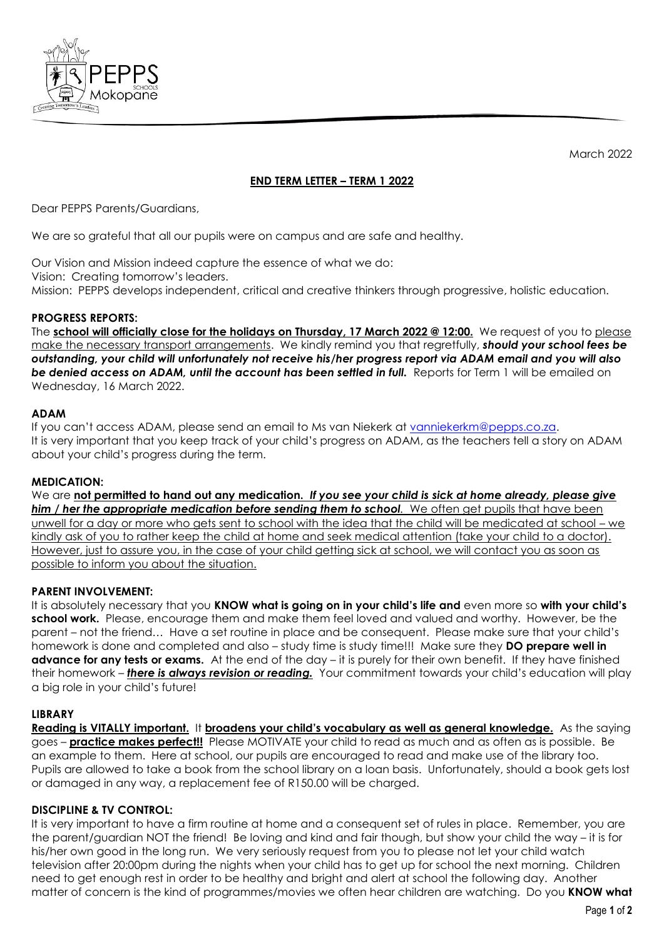

March 2022

# **END TERM LETTER – TERM 1 2022**

Dear PEPPS Parents/Guardians,

We are so grateful that all our pupils were on campus and are safe and healthy.

Our Vision and Mission indeed capture the essence of what we do: Vision: Creating tomorrow's leaders. Mission: PEPPS develops independent, critical and creative thinkers through progressive, holistic education.

## **PROGRESS REPORTS:**

The **school will officially close for the holidays on Thursday, 17 March 2022 @ 12:00. We request of you to please** make the necessary transport arrangements. We kindly remind you that regretfully, *should your school fees be outstanding, your child will unfortunately not receive his/her progress report via ADAM email and you will also be denied access on ADAM, until the account has been settled in full.* Reports for Term 1 will be emailed on Wednesday, 16 March 2022.

## **ADAM**

If you can't access ADAM, please send an email to Ms van Niekerk at [vanniekerkm@pepps.co.za.](mailto:vanniekerkm@pepps.co.za) It is very important that you keep track of your child's progress on ADAM, as the teachers tell a story on ADAM about your child's progress during the term.

### **MEDICATION:**

We are **not permitted to hand out any medication.** If you see your child is sick at home already, please give *him / her the appropriate medication before sending them to school.* We often get pupils that have been unwell for a day or more who gets sent to school with the idea that the child will be medicated at school – we kindly ask of you to rather keep the child at home and seek medical attention (take your child to a doctor). However, just to assure you, in the case of your child getting sick at school, we will contact you as soon as possible to inform you about the situation.

# **PARENT INVOLVEMENT:**

It is absolutely necessary that you **KNOW what is going on in your child's life and** even more so **with your child's school work.** Please, encourage them and make them feel loved and valued and worthy. However, be the parent – not the friend… Have a set routine in place and be consequent. Please make sure that your child's homework is done and completed and also – study time is study time!!! Make sure they **DO prepare well in advance for any tests or exams.** At the end of the day – it is purely for their own benefit. If they have finished their homework – *there is always revision or reading.* Your commitment towards your child's education will play a big role in your child's future!

### **LIBRARY**

**Reading is VITALLY important.** It **broadens your child's vocabulary as well as general knowledge.** As the saying goes – **practice makes perfect!!** Please MOTIVATE your child to read as much and as often as is possible. Be an example to them. Here at school, our pupils are encouraged to read and make use of the library too. Pupils are allowed to take a book from the school library on a loan basis. Unfortunately, should a book gets lost or damaged in any way, a replacement fee of R150.00 will be charged.

# **DISCIPLINE & TV CONTROL:**

It is very important to have a firm routine at home and a consequent set of rules in place. Remember, you are the parent/guardian NOT the friend! Be loving and kind and fair though, but show your child the way – it is for his/her own good in the long run. We very seriously request from you to please not let your child watch television after 20:00pm during the nights when your child has to get up for school the next morning. Children need to get enough rest in order to be healthy and bright and alert at school the following day. Another matter of concern is the kind of programmes/movies we often hear children are watching. Do you **KNOW what**